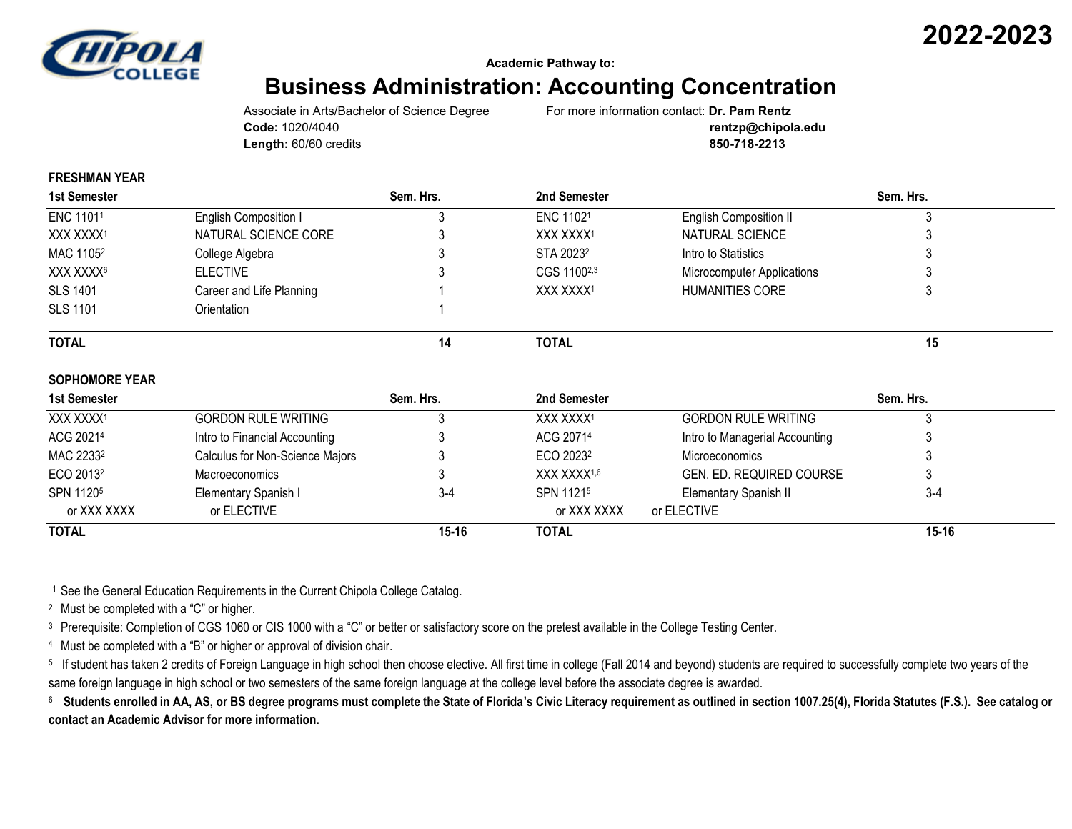

#### **Academic Pathway to:**

# **Business Administration: Accounting Concentration**

Associate in Arts/Bachelor of Science Degree For more information contact: **Dr. Pam Rentz Length:** 60/60 credits **850-718-2213**

**Code:** 1020/4040 **rentzp@chipola.edu**

#### **FRESHMAN YEAR**

| <b>1st Semester</b>   |                                 | Sem. Hrs. | 2nd Semester            |                                 | Sem. Hrs. |  |
|-----------------------|---------------------------------|-----------|-------------------------|---------------------------------|-----------|--|
| ENC 11011             | English Composition I           |           | ENC 11021               | English Composition II          |           |  |
| XXX XXXX <sup>1</sup> | NATURAL SCIENCE CORE            |           | XXX XXXX1               | NATURAL SCIENCE                 |           |  |
| MAC 1105 <sup>2</sup> | College Algebra                 |           | STA 2023 <sup>2</sup>   | Intro to Statistics             |           |  |
| XXX XXXX <sup>6</sup> | <b>ELECTIVE</b>                 |           | CGS 11002,3             | Microcomputer Applications      |           |  |
| <b>SLS 1401</b>       | Career and Life Planning        |           | XXX XXXX <sup>1</sup>   | <b>HUMANITIES CORE</b>          |           |  |
| <b>SLS 1101</b>       | Orientation                     |           |                         |                                 |           |  |
| <b>TOTAL</b>          |                                 | 14        | <b>TOTAL</b>            |                                 | 15        |  |
| <b>SOPHOMORE YEAR</b> |                                 |           |                         |                                 |           |  |
| 1st Semester          |                                 | Sem. Hrs. | 2nd Semester            |                                 | Sem. Hrs. |  |
| XXX XXXX <sup>1</sup> | <b>GORDON RULE WRITING</b>      | 3         | XXX XXXX1               | <b>GORDON RULE WRITING</b>      |           |  |
| ACG 2021 <sup>4</sup> | Intro to Financial Accounting   |           | ACG 20714               | Intro to Managerial Accounting  |           |  |
| MAC 22332             | Calculus for Non-Science Majors |           | ECO 2023 <sup>2</sup>   | <b>Microeconomics</b>           |           |  |
| ECO 2013 <sup>2</sup> | <b>Macroeconomics</b>           |           | XXX XXXX <sup>1,6</sup> | <b>GEN. ED. REQUIRED COURSE</b> | 3         |  |
| SPN 11205             | Elementary Spanish I            | $3-4$     | SPN 11215               | <b>Elementary Spanish II</b>    | $3-4$     |  |
| or XXX XXXX           | or ELECTIVE                     |           | or XXX XXXX             | or ELECTIVE                     |           |  |
| <b>TOTAL</b>          |                                 | $15 - 16$ | <b>TOTAL</b>            |                                 | $15 - 16$ |  |

<sup>1</sup> See the General Education Requirements in the Current Chipola College Catalog.

<sup>2</sup> Must be completed with a "C" or higher.

<sup>3</sup> Prerequisite: Completion of CGS 1060 or CIS 1000 with a "C" or better or satisfactory score on the pretest available in the College Testing Center.

<sup>4</sup> Must be completed with a "B" or higher or approval of division chair.

<sup>5</sup> If student has taken 2 credits of Foreign Language in high school then choose elective. All first time in college (Fall 2014 and beyond) students are required to successfully complete two years of the same foreign language in high school or two semesters of the same foreign language at the college level before the associate degree is awarded.

 $^{\circ}$  Students enrolled in AA, AS, or BS degree programs must complete the State of Florida's Civic Literacy requirement as outlined in section 1007.25(4), Florida Statutes (F.S.). See catalog or **contact an Academic Advisor for more information.**